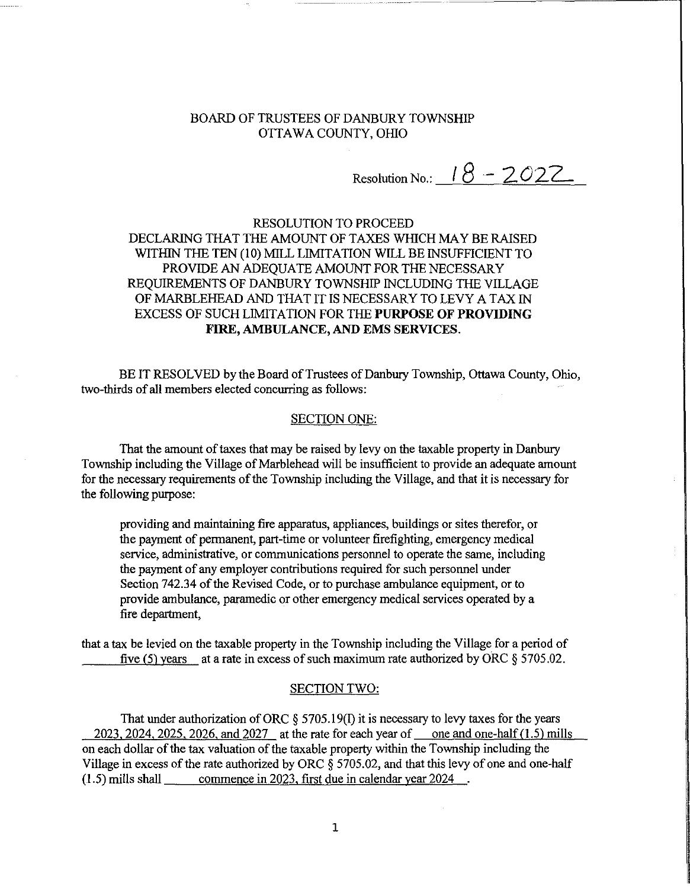### BOARD OF TRUSTEES OF DANBURY TOWNSHIP OTTAWA COUNTY, OHIO

Resolution No.:  $18 - 2022$ 

## RESOLUTION TO PROCEED DECLARING THAT THE AMOUNT OF TAXES WHICH MAYBE RAISED WITHIN THE TEN (10) MILL LIMITATION WILL BE INSUFFICIENT TO PROVIDE AN ADEQUATE AMOUNT FOR THE NECESSARY REQUIREMENTS OF DANBURY TOWNSHIP INCLUDING THE VILLAGE OF MARBLEHEAD AND THAT IT IS NECESSARY TO LEVY A TAX IN EXCESS OF SUCH LIMITATION FOR THE **PURPOSE OF PROVIDING FIRE,** AMBULANCE, AND EMS SERVICES.

BE IT RESOLVED by the Board of Trustees of Danbury Township, Ottawa County, Ohio, two-thirds of all members elected concurring as follows:

#### SECTION ONE:

That the amount of taxes that may be raised by levy on the taxable property in Danbury Township including the Village of Marblehead will be insufficient to provide an adequate amount for the necessary requirements of the Township including the Village, and that it is necessary for the following purpose:

providing and maintaining fire apparatus, appliances, buildings or sites therefor, or the payment of permanent, part-time or volunteer firefighting, emergency medical service, administrative, or communications personnel to operate the same, including the payment of any employer contributions required for such personnel under Section 742.34 of the Revised Code, or to purchase ambulance equipment, or to provide ambulance, paramedic or other emergency medical services operated by a fire department,

that a tax be levied on the taxable property in the Township including the Village for a period of five (5) years at a rate in excess of such maximum rate authorized by ORC  $\S 5705.02$ .

#### SECTION TWO:

That under authorization of ORC  $\S$  5705.19(I) it is necessary to levy taxes for the years 2023, 2024, 2025, 2026, and 2027 at the rate for each year of one and one-half  $(1.5)$  mills on each dollar of the tax valuation of the taxable property within the Township including the Village in excess of the rate authorized by ORC § 5705.02, and that this levy of one and one-half (l.5) mills shall commence in 2023. first due in calendar year 2024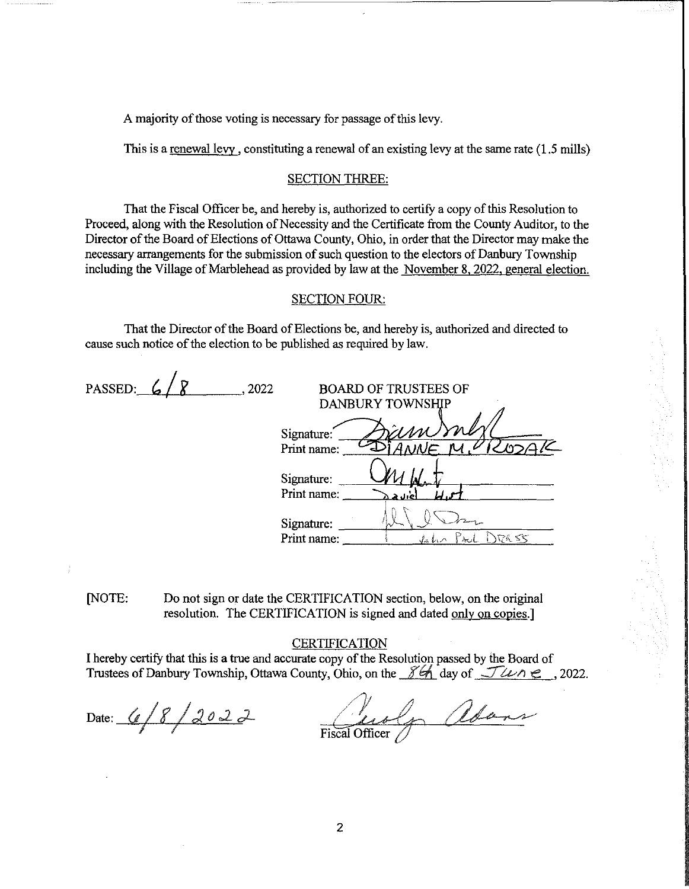A majority of those voting is necessary for passage of this levy.

This is a renewal levy, constituting a renewal of an existing levy at the same rate (1.5 mills)

#### SECTION THREE:

That the Fiscal Officer be, and hereby is, authorized to certify a copy of this Resolution to Proceed, along with the Resolution of Necessity and the Certificate from the County Auditor, to the Director of the Board of Elections of Ottawa County, Ohio, in order that the Director may make the necessary arrangements for the submission of such question to the electors of Danbury Township including the Village of Marblehead as provided by law at the November 8, 2022, general election.

#### SECTION FOUR:

That the Director of the Board of Elections be, and hereby is, authorized and directed to cause such notice of the election to be published as required by law.

| PASSED: $6/8$ | -2022 | <b>BOARD OF TRUSTEES OF</b>                   |
|---------------|-------|-----------------------------------------------|
|               |       | ______ <del>____________</del> ______________ |

|             | BUAKU UP TRUBTEEB UP    |
|-------------|-------------------------|
|             | <b>DANBURY TOWNSHIP</b> |
|             |                         |
| Signature:  | ram                     |
| Print name: |                         |
| Signature:  |                         |
| Print name: |                         |
| Signature:  |                         |
| Print name: | RR 55<br>√s h           |

(NOTE: Do not sign or date the CERTIFICATION section, below, on the original resolution. The CERTIFICATION is signed and dated only on copies.]

#### **CERTIFICATION**

I hereby certify that this is a true and accurate copy of the Resolution passed by the Board of Trustees of Danbury Township, Ottawa County, Ohio, on the  $\frac{\gamma}{\gamma}$  day of  $\frac{\gamma}{\gamma}$   $\alpha \wedge \beta$ , 2022.

Date:  $6/8/2022$ 

In adams Fiscal Officer